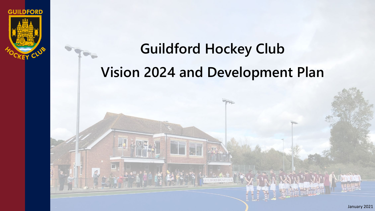

# **Guildford Hockey Club Vision 2024 and Development Plan**

THE THEFT

 $\Box$ 

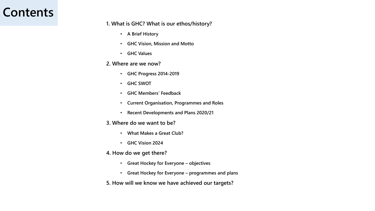### **Contents**

#### **1. What is GHC? What is our ethos/history?**

- **A Brief History**
- **GHC Vision, Mission and Motto**
- **GHC Values**

#### **2. Where are we now?**

- **GHC Progress 2014-2019**
- **GHC SWOT**
- **GHC Members' Feedback**
- **Current Organisation, Programmes and Roles**
- **Recent Developments and Plans 2020/21**
- **3. Where do we want to be?**
	- **What Makes a Great Club?**
	- **GHC Vision 2024**
- **4. How do we get there?**
	- **Great Hockey for Everyone – objectives**
	- **Great Hockey for Everyone – programmes and plans**
- **5. How will we know we have achieved our targets?**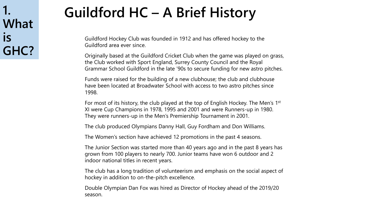**1. What is GHC?**

# **Guildford HC – A Brief History**

Guildford Hockey Club was founded in 1912 and has offered hockey to the Guildford area ever since.

Originally based at the Guildford Cricket Club when the game was played on grass, the Club worked with Sport England, Surrey County Council and the Royal Grammar School Guildford in the late '90s to secure funding for new astro pitches.

Funds were raised for the building of a new clubhouse; the club and clubhouse have been located at Broadwater School with access to two astro pitches since 1998.

For most of its history, the club played at the top of English Hockey. The Men's 1st XI were Cup Champions in 1978, 1995 and 2001 and were Runners-up in 1980. They were runners-up in the Men's Premiership Tournament in 2001.

The club produced Olympians Danny Hall, Guy Fordham and Don Williams.

The Women's section have achieved 12 promotions in the past 4 seasons.

The Junior Section was started more than 40 years ago and in the past 8 years has grown from 100 players to nearly 700. Junior teams have won 6 outdoor and 2 indoor national titles in recent years.

The club has a long tradition of volunteerism and emphasis on the social aspect of hockey in addition to on-the-pitch excellence.

Double Olympian Dan Fox was hired as Director of Hockey ahead of the 2019/20 season.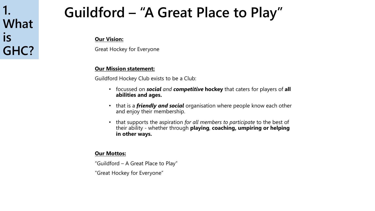## **1. What is GHC?**

# **Guildford – "A Great Place to Play"**

#### **Our Vision:**

Great Hockey for Everyone

### **Our Mission statement:**

Guildford Hockey Club exists to be a Club:

- focussed on *social and competitive* **hockey** that caters for players of **all abilities and ages.**
- that is a *friendly and social* organisation where people know each other and enjoy their membership.
- that supports the aspiration *for all members to participate* to the best of their ability - whether through **playing**, **coaching, umpiring or helping in other ways.**

#### **Our Mottos:**

"Guildford – A Great Place to Play"

"Great Hockey for Everyone"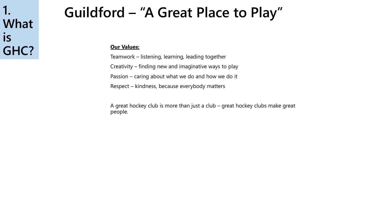### **1. What is GHC?**

# **Guildford – "A Great Place to Play"**

#### **Our Values:**

Teamwork – listening, learning, leading together Creativity – finding new and imaginative ways to play Passion – caring about what we do and how we do it Respect – kindness, because everybody matters

A great hockey club is more than just a club – great hockey clubs make great people.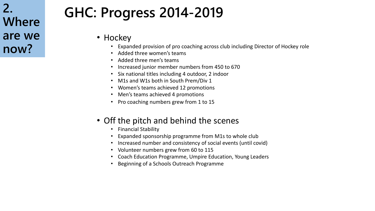# **GHC: Progress 2014-2019**

- Hockey
	- Expanded provision of pro coaching across club including Director of Hockey role
	- Added three women's teams
	- Added three men's teams
	- Increased junior member numbers from 450 to 670
	- Six national titles including 4 outdoor, 2 indoor
	- M1s and W1s both in South Prem/Div 1
	- Women's teams achieved 12 promotions
	- Men's teams achieved 4 promotions
	- Pro coaching numbers grew from 1 to 15

### • Off the pitch and behind the scenes

- Financial Stability
- Expanded sponsorship programme from M1s to whole club
- Increased number and consistency of social events (until covid)
- Volunteer numbers grew from 60 to 115
- Coach Education Programme, Umpire Education, Young Leaders
- Beginning of a Schools Outreach Programme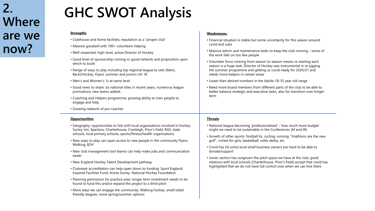# **GHC SWOT Analysis**

#### **Strengths**

• Clubhouse and home facilities; reputation as a "proper club"

- Massive goodwill with 100+ volunteers helping
- Well respected, high-level, active Director of Hockey
- Good level of sponsorship coming in; good network and proposition upon which to build
- Range of ways to play including top regional league to vets (Men), Back2Hockey, Flyerz, summer and juniors U6-18
- Men's and Women's 1s at same level
- Good news to share: six national titles in recent years, numerous league promotions, new teams added;
- Coaching and Helpers programme; growing ability to train people to engage and help
- Growing network of pro coaches

#### **Opportunities**

- Geography: opportunities to link with local organisations involved in hockey: Surrey Uni, Spartans, Charterhouse, Cranleigh, Prior's Field, RGS, state schools, local primary schools, sports/fitness/health organisations
- New ways to play can open access to new people in the community Flyerz, Walking, B2H
- New club management tool teamo can help make jobs and communication easier
- New England Hockey Talent Development pathway
- Clubmark accreditation can help open doors to funding: Sport England, Inspired Facilities Fund, Active Surrey, National Hockey Foundation
- Planning permission for practice area; longer term investment needs to be found to fund this and/or expand the project to a third pitch
- More ways we can engage the community: Walking hockey, small sided friendly leagues, more spring/summer options

#### **Weaknesses**,

- Financial situation is stable but some uncertainty for this season around covid and subs
- Massive admin and maintenance tasks to keep the club running some of the work falls on too few people
- Volunteer force running from season to season means re-starting each season is a huge task; Director of Hockey was instrumental in re-jigging the summer programme and getting us covid-ready for 2020/21 and needs more helpers in certain areas
- Lower than desired numbers in the Adults 18-35 year old range
- Need more board members from different parts of the club to be able to better balance strategic and executive tasks; also for transition over longer term

#### **Threats**

- National league becoming 'professionalised' how much more budget might we need to be sustainable in the Conferences (M and W)
- Growth of other sports: football 6s, cycling, running, "triathlons are the new golf", cricket for girls, basketball, roller derby, etc
- Covid has hit some local small business owners too hard to be able to donate/support
- Junior section has outgrown the pitch space we have at the club; good relations with local schools (Charterhouse, Prior's Field) except that covid has highlighted that we do not have full control over when we can hire there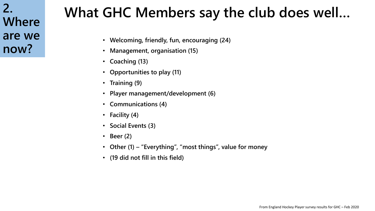# **What GHC Members say the club does well…**

- **Welcoming, friendly, fun, encouraging (24)**
- **Management, organisation (15)**
- **Coaching (13)**
- **Opportunities to play (11)**
- **Training (9)**
- **Player management/development (6)**
- **Communications (4)**
- **Facility (4)**
- **Social Events (3)**
- **Beer (2)**
- **Other (1) – "Everything", "most things", value for money**
- **(19 did not fill in this field)**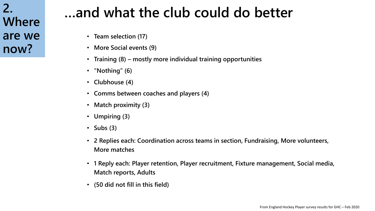# **…and what the club could do better**

- **Team selection (17)**
- **More Social events (9)**
- **Training (8) – mostly more individual training opportunities**
- **"Nothing" (6)**
- **Clubhouse (4)**
- **Comms between coaches and players (4)**
- **Match proximity (3)**
- **Umpiring (3)**
- **Subs (3)**
- **2 Replies each: Coordination across teams in section, Fundraising, More volunteers, More matches**
- **1 Reply each: Player retention, Player recruitment, Fixture management, Social media, Match reports, Adults**
- **(50 did not fill in this field)**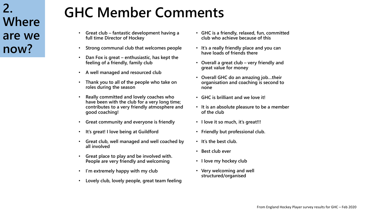# **GHC Member Comments**

- **Great club – fantastic development having a full time Director of Hockey**
- **Strong communal club that welcomes people**
- **Dan Fox is great – enthusiastic, has kept the feeling of a friendly, family club**
- **A well managed and resourced club**
- **Thank you to all of the people who take on roles during the season**
- **Really committed and lovely coaches who have been with the club for a very long time; contributes to a very friendly atmosphere and good coaching!**
- **Great community and everyone is friendly**
- **It's great! I love being at Guildford**
- **Great club, well managed and well coached by all involved**
- **Great place to play and be involved with. People are very friendly and welcoming**
- **I'm extremely happy with my club**
- **Lovely club, lovely people, great team feeling**
- **GHC is a friendly, relaxed, fun, committed club who achieve because of this**
- **It's a really friendly place and you can have loads of friends there**
- **Overall a great club – very friendly and great value for money**
- **Overall GHC do an amazing job…their organisation and coaching is second to none**
- **GHC is brilliant and we love it!**
- **It is an absolute pleasure to be a member of the club**
- **I love it so much, it's great!!!**
- **Friendly but professional club.**
- **It's the best club.**
- **Best club ever**
- **I love my hockey club**
- **Very welcoming and well structured/organised**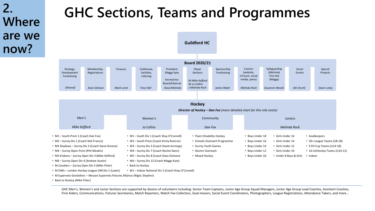# **GHC Sections, Teams and Programmes**



• M Supervets Gondoliers – Wessex Supervets Fixtures Alliance (Nigel, Stephen)

• Back to Hockey (Mike Fitter)

GHC Men's, Women's and Junior Sections are supported by dozens of volunteers including: Senior Team Captains, Junior Age Group Squad Managers, Junior Age Group Lead Coaches, Assistant Coaches, First Aiders, Communications, Fixtures Secretaries, Match Reporters, Match Fee Collectors, Goal movers, Social Event Coordinators, Photographers, League Registrations, Attendance Takers, and more…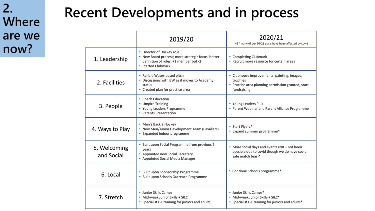# **Recent Developments and in process**

|                            | 2019/20                                                                                                                                       | 2020/21<br>NB *many of our 20/21 plans have been affected by covid                                                           |  |  |
|----------------------------|-----------------------------------------------------------------------------------------------------------------------------------------------|------------------------------------------------------------------------------------------------------------------------------|--|--|
| 1. Leadership              | • Director of Hockey role<br>• New Board process; more strategic focus; better<br>definition of roles; +1 member but -2<br>• Started Clubmark | • Completing Clubmark<br>• Recruit more resource for certain areas                                                           |  |  |
| 2. Facilities              | • Re-laid Water-based pitch<br>• Discussions with BW as it moves to Academy<br>status<br>• Created plan for practice area                     | • Clubhouse improvements: painting, images,<br>trophies<br>• Practice area planning permission granted; start<br>fundraising |  |  |
| 3. People                  | • Coach Education<br>• Umpire Training<br>• Young Leaders Programme<br>• Parents Presentation                                                 | • Young Leaders Plus<br>• Parent Webinar and Parent Alliance Programme                                                       |  |  |
| 4. Ways to Play            | • Men's Back 2 Hockey<br>• New Men/Junior Development Team (Cavaliers)<br>• Expanded indoor programme                                         | • Start Flyerz*<br>• Expand summer programme*                                                                                |  |  |
| 5. Welcoming<br>and Social | • Built upon Social Programme from previous 2<br>years<br>• Appointed new Social Secretary<br>• Appointed Social Media Manager                | • More social days and events (NB - not been<br>possible due to covid though we do have covid<br>safe match teas)*           |  |  |
| 6. Local                   | • Built upon Sponsorship Programme<br>• Built upon Schools Outreach Programme                                                                 | • Continue Schools programme*                                                                                                |  |  |
| 7. Stretch                 | • Junior Skills Camps<br>· Mid-week Junior Skills + S&C<br>• Specialist GK training for juniors and adults                                    | • Junior Skills Camps*<br>· Mid-week Junior Skills + S&C*<br>• Specialist GK training for juniors and adults*                |  |  |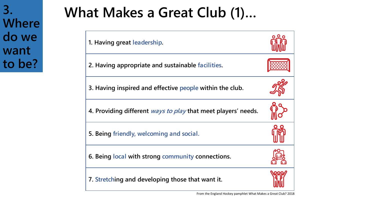**3. Where do we want to be?**

# **What Makes a Great Club (1)…**



From the England Hockey pamphlet What Makes a Great Club? 2018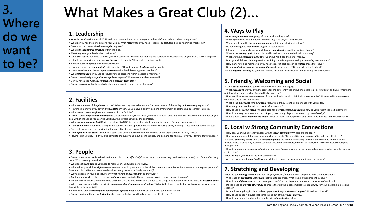# **What Makes a Great Club (2)…**

#### **1. Leadership**

- What is the *vision* for your club? How do you communicate this to everyone in the club? Is it understood and bought into?
- What do you need to do to achieve your vision? What *resources* do you need people, budget, facilities, partnerships, marketing?
- Does your club have a *development plan* in place?
- What is the *leadership structure* within the club?
- *How long* have your leaders had their roles?
- What *skill sets* do you need to make your club successful? How do you identify and recruit future leaders and do you have a succession plan?
- Is the leadership within your club as *effective* as it could be? How could it be improved?
- How are tasks *delegated* throughout the club?
- How does your club *communicate* with members? How do you get *feedback* and act on it?
- How often does your leadership team *consult* with the different types of members?
- What *information* do you use to regularly make decisions within leadership meetings?
- Do you have the right *organisational policies* in place? When were they last reviewed?
- Do you have good *financial controls* and a *medium-term plan*?
- Do you *network* with other clubs to share good practice or attend local forums?

### **2. Facilities**

• What are the state of the *pitches* you use? When are they due to be replaced? Are you aware of the facility *maintenance* programme?

- How much money do you pay in *pitch rental* per year? Do you have a priority booking arrangement or partnership agreement in place?
- What do you have an *influence* on in terms of your facilities?
- Do you have a *long-term commitment* to the pitch/changing/social space you use? If so, what does this look like? How senior is the person you deal with at the venue you use? Do you know the owners as well as the operators?
- What are your *plans for facilities* in the future (SWOT)? Are these plans viable and realistic, and is England Hockey aware?
- Is the *community* around you changing and can this provide opportunities are there housing plans, planning issues or other potential sites? • For asset owners, are you maximising the potential at your current facility?
- Do the *financial structures* in your multisport club ensure hockey revenue (often one of the larger sections) is fairly treated?
- Playing Pitch Strategy did you club complete the survey and input into the supply and demand for hockey? Have you identified future needs?

#### **3. People**

• Do you know what needs to be done for your club to *run effectively*? Some clubs know what they need to do (and when) but it's not effectively done. Who currently does this?

- What specific *skill sets* do you need to make your club function effectively?
- Where does your club *workforce* come from and how do you approach them? Are there opportunities for improvement or untapped potential? Does your club utilise your associated workforce (e.g. parents or family members)?
- Why do people in your club volunteer? What *reward and recognition* do they want?
- Are there areas where there is an *over reliance* on one individual to cover many tasks? Is there a succession plan?
- Are there roles where there is only one person in the club who knows or is trained to do this (single point of failure)? Is there a *succession plan*?
- Where roles are paid is there clarity in *management and employment structures*? What is the long-term strategy with paying roles and how financially sustainable is it?
- How do you provide *training and development opportunities* if people want them? Do you budget for this?
- Do you maximise the use of *technology* to reduce volunteer workload and increase effectiveness?

#### **4. Ways to Play**

- *How many members* have you got? How much do they play?
- *What ages* do you lose members? Why do they stop playing for the club?
- Where would you like to see *more members* within your playing structure?
- Do you do targeted *recruitment* or general recruitment?
- If I wanted to play hockey at your club what *opportunities* would be available to me?
- What is the *demographic* of your club and how does it relate to the local community?
- What are the *membership options* for your club? Is it good value for money?
- Does your club have plans in place for *retaining* the existing membership *+ recruiting* new members?
- How many new club members do you need to recruit each season to *replace* those that leave?
- Do you *contact the leavers* to gain *feedback* as to why they left? Do you act on the feedback?
- What *'informal' activity* do you offer? Do you just offer formal training and Saturday league hockey?

#### **5. Friendly, Welcoming and Social**

- What *social activities* do you currently do? Who does this engage?
- What *experience* are you trying to create for the different types of club members (e.g. existing adult and junior members or informal members such as Back to Hockey players)?
- How would someone become *aware* of your club? What would this initial contact look like? How would I *communicate* with your club if I was interested?
- What is the *experience for new people*? How would they rate their experience with you so far?
- How many new members do you *retain* after a season?
- How do you use *social media*? What is used for *internal communication* and how do you present yourself externally?
- How do you stay in contact with *past players*, particularly players that leave to go to *university*?
- What is your current *membership model*? Does this cater for people that only want to be involved in the club socially?

#### **6. Local w Strong Community Connections**

- How does your club currently engage with the *local community*? Where are the gaps?
- Does your approach differ depending on who you talk to? Do you utilise your *membership* to do this effectively?
- Are you *politically aware* who the *important people* are in your community and what they could do for your club university vice chancellors, headmaster, local MPs, town councillors, directors of sport, chief leisure officer, school sport managers etc?
- How do you approach *sponsorship* within your club? Do you have a strategy or agreed approach? What does the sponsor get in return?
- How *visible* is your club in the local community?
- Are you aware what *opportunities* are available to engage the local community and businesses?

### **7. Stretching and Developing**

- How do you *identify talent* within your players/coaches/umpires? What do you do with this information?
- Who leads on *supporting individuals* that want to progress? What training/support do they have?
- How do you *differentiate* in your training sessions? Could a player who wanted to train more often do so? • Do you need to *link into other clubs* to ensure there is the most complete talent pathway for your players, umpires and coaches?
- Do you have anything in place to develop your *aspiring coaches and umpires*? How does this work?
- How do you support players that come in and out of the *Player Pathway*?
- How do you support and develop members in *administration roles*?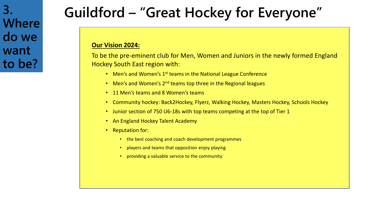# **Guildford – "Great Hockey for Everyone"**

### **Our Vision 2024:**

To be the pre-eminent club for Men, Women and Juniors in the newly formed England Hockey South East region with:

- Men's and Women's 1<sup>st</sup> teams in the National League Conference
- Men's and Women's 2<sup>nd</sup> teams top three in the Regional leagues
- 11 Men's teams and 8 Women's teams
- Community hockey: Back2Hockey, Flyerz, Walking Hockey, Masters Hockey, Schools Hockey
- Junior section of 750 U6-18s with top teams competing at the top of Tier 1
- An England Hockey Talent Academy
- Reputation for:
	- the best coaching and coach development programmes
	- players and teams that opposition enjoy playing
	- providing a valuable service to the community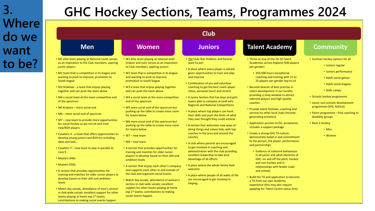| <b>GHC Hockey Sections, Teams, Programmes 2024</b>                                                                                                                                                                                                                                                                                                                                                                                                                                                                                                                                                                                                                                                                                                                                                                                                                                                                                                               |                                                                                                                                                                                                                                                                                                                                                                                                                                                                                                                                                                                                                                                                                                                                                                                                                                                                                                                                                                                                                  |                                                                                                                                                                                                                                                                                                                                                                                                                                                                                                                                                                                                                                                                                                                                                                                                                                                                                                                                                                                                               |                                                                                                                                                                                                                                                                                                                                                                                                                                                                                                                                                                                                                                                                                                                                                                                                                                                                                                                                                   |                                                                                                                                                                                                                                                                                                                                                       |  |  |  |  |  |  |
|------------------------------------------------------------------------------------------------------------------------------------------------------------------------------------------------------------------------------------------------------------------------------------------------------------------------------------------------------------------------------------------------------------------------------------------------------------------------------------------------------------------------------------------------------------------------------------------------------------------------------------------------------------------------------------------------------------------------------------------------------------------------------------------------------------------------------------------------------------------------------------------------------------------------------------------------------------------|------------------------------------------------------------------------------------------------------------------------------------------------------------------------------------------------------------------------------------------------------------------------------------------------------------------------------------------------------------------------------------------------------------------------------------------------------------------------------------------------------------------------------------------------------------------------------------------------------------------------------------------------------------------------------------------------------------------------------------------------------------------------------------------------------------------------------------------------------------------------------------------------------------------------------------------------------------------------------------------------------------------|---------------------------------------------------------------------------------------------------------------------------------------------------------------------------------------------------------------------------------------------------------------------------------------------------------------------------------------------------------------------------------------------------------------------------------------------------------------------------------------------------------------------------------------------------------------------------------------------------------------------------------------------------------------------------------------------------------------------------------------------------------------------------------------------------------------------------------------------------------------------------------------------------------------------------------------------------------------------------------------------------------------|---------------------------------------------------------------------------------------------------------------------------------------------------------------------------------------------------------------------------------------------------------------------------------------------------------------------------------------------------------------------------------------------------------------------------------------------------------------------------------------------------------------------------------------------------------------------------------------------------------------------------------------------------------------------------------------------------------------------------------------------------------------------------------------------------------------------------------------------------------------------------------------------------------------------------------------------------|-------------------------------------------------------------------------------------------------------------------------------------------------------------------------------------------------------------------------------------------------------------------------------------------------------------------------------------------------------|--|--|--|--|--|--|
|                                                                                                                                                                                                                                                                                                                                                                                                                                                                                                                                                                                                                                                                                                                                                                                                                                                                                                                                                                  |                                                                                                                                                                                                                                                                                                                                                                                                                                                                                                                                                                                                                                                                                                                                                                                                                                                                                                                                                                                                                  | <b>Club</b>                                                                                                                                                                                                                                                                                                                                                                                                                                                                                                                                                                                                                                                                                                                                                                                                                                                                                                                                                                                                   |                                                                                                                                                                                                                                                                                                                                                                                                                                                                                                                                                                                                                                                                                                                                                                                                                                                                                                                                                   |                                                                                                                                                                                                                                                                                                                                                       |  |  |  |  |  |  |
| <b>Men</b>                                                                                                                                                                                                                                                                                                                                                                                                                                                                                                                                                                                                                                                                                                                                                                                                                                                                                                                                                       | <b>Women</b>                                                                                                                                                                                                                                                                                                                                                                                                                                                                                                                                                                                                                                                                                                                                                                                                                                                                                                                                                                                                     | <b>Juniors</b>                                                                                                                                                                                                                                                                                                                                                                                                                                                                                                                                                                                                                                                                                                                                                                                                                                                                                                                                                                                                | <b>Talent Academy</b>                                                                                                                                                                                                                                                                                                                                                                                                                                                                                                                                                                                                                                                                                                                                                                                                                                                                                                                             | <b>Community</b>                                                                                                                                                                                                                                                                                                                                      |  |  |  |  |  |  |
| • M1 elite team playing at National Level; serves<br>as an inspiration to the Club members, aspiring<br>junior players<br>• M2 team that is competitive in its league and<br>wanting to push to improve; promotion to<br>South league<br>• M3 Shadows - a team that enjoys playing<br>together and can push the team above<br>• M4 a social team at the more competitive end<br>of the spectrum<br>• M5 Krakens - more social end<br>• M6 - more social end of spectrum<br>• M7 – new team to provide more opportunities<br>for social hockey as we recruit and train<br>new/B2H players<br>• Cavaliers X - a team that offers opportunities to<br>develop young juniors and B2H-ers including<br>dads and lads<br>• Cavaliers Y – new team to play in parallel to<br>Cavs X<br>• Masters O40s<br>• Masters O50s<br>• A section that provides opportunities for<br>training and matches for older Junior players to<br>develop based on their skill and ambition | . W1 elite team playing at national level<br>(indoor and out); serves as an inspiration<br>to Club members, aspiring juniors<br>• W2 team that is competitive in its league<br>and wanting to push to improve;<br>promotion to South league<br>• W3 a team that enjoys playing together<br>and can push the team above<br>• W4 a social team at the more competitive<br>end of the spectrum<br>. W5 more social end of the spectrum but<br>pushing up the table to create more room<br>for teams below<br>. W6 more social end of the spectrum but<br>pushing up the table to create more room<br>for teams below<br>$\cdot$ W7 – new team<br>$\cdot$ W8 – new team<br>• A section that provides opportunities for<br>training and matches for older Junior<br>players to develop based on their skill and<br>ambition levels<br>• A section that enjoys each other's company<br>and supports each other in and outside of<br>the club and organises social events<br>• Match day socials, attendance of women's | • The Club that Children and Parents<br>want to join<br>• A place where every player is valued:<br>given opportunities to train and play<br>and improve<br>• Combination of pro and volunteer<br>coaching to get the best coach player<br>ratios, personal touch and stretch<br>• A Junior Section that has boys and girls<br>teams able to compete at (and win)<br><b>Regional and National Competitions</b><br>• A place where top players can hone<br>their skills and push the limits of what<br>they ever thought they could achieve<br>• A section that welcomes new ways of<br>doing things and values links with top<br>coaches in the area and around the<br>country<br>• A club where parents are encouraged<br>to get involved in coaching and<br>administration with the club providing<br>excellent leadership to take best<br>advantage of all efforts<br>• A place where the whole family feels<br>welcome<br>• A place where people of all walks of life<br>are encouraged to get involved in | • Thrive as one of the 20-24 Talent<br>Academies across England (500 players<br>per gender)<br>• 350-500 hours exceptional<br>coaching and training with 15 to<br>25 players per gender Sep to Jul<br>• Become beacon of best practise in<br>talent development in our locality<br>providing a shop window to attract<br>talented players and high-quality<br>coaches<br>• Provide talent festivals, coaching and<br>services to other local clubs (income-<br>generating activities)<br>• Application process to EH; acceptance<br>includes a support package<br>• Create a strong GHC TA culture:<br>demonstrate belief in and commitment<br>to the person, the player, performance<br>and partnerships<br>• Evidence of coherent behaviours<br>in all junior and adult elements of<br>GHC: on and off the pitch, hockey<br>and non-hockey and in<br>relationships with feeder clubs<br>and schools<br>• Build the TA and application to become | • Summer hockey options for all<br>• Juniors regular<br>• Juniors performance<br>• Adult social games<br>• Adult social leagues<br>• Skills camps<br>• Schools hockey programme<br>• Junior non-schools development<br>programme (SYG, GoFest)<br>• Flyerz programme – free coaching to<br>disability groups<br>• Back 2 Hockey<br>$·$ Men<br>• Women |  |  |  |  |  |  |
| <b>levels</b><br>• Match day socials, attendance of men's section<br>in club wide socials; excellent support for other<br>teams playing at home esp 1 <sup>st</sup> teams;<br>contributions to making social events happen                                                                                                                                                                                                                                                                                                                                                                                                                                                                                                                                                                                                                                                                                                                                       | section in club wide socials; excellent<br>support for other teams playing at home<br>esp 1 <sup>st</sup> teams; contributions to making<br>social events happen                                                                                                                                                                                                                                                                                                                                                                                                                                                                                                                                                                                                                                                                                                                                                                                                                                                 | helping                                                                                                                                                                                                                                                                                                                                                                                                                                                                                                                                                                                                                                                                                                                                                                                                                                                                                                                                                                                                       | a TA from our own Academy<br>experience (this may also require<br>applying for Talent Centre status first)                                                                                                                                                                                                                                                                                                                                                                                                                                                                                                                                                                                                                                                                                                                                                                                                                                        |                                                                                                                                                                                                                                                                                                                                                       |  |  |  |  |  |  |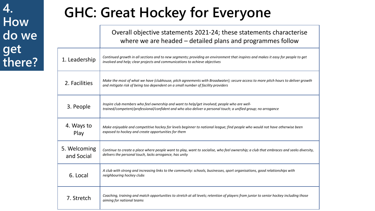# **GHC: Great Hockey for Everyone**

Overall objective statements 2021-24; these statements characterise where we are headed – detailed plans and programmes follow

|                            | cre we are neaded adduced plans and programmes follow                                                                                                                                                                |
|----------------------------|----------------------------------------------------------------------------------------------------------------------------------------------------------------------------------------------------------------------|
| 1. Leadership              | Continued growth in all sections and to new segments; providing an environment that inspires and makes it easy for people to get<br>involved and help; clear projects and communications to achieve objectives       |
| 2. Facilities              | Make the most of what we have (clubhouse, pitch agreements with Broadwater); secure access to more pitch hours to deliver growth<br>and mitigate risk of being too dependent on a small number of facility providers |
| 3. People                  | Inspire club members who feel ownership and want to help/get involved; people who are well-<br>trained/competent/professional/confident and who also deliver a personal touch; a unified group; no arrogance         |
| 4. Ways to<br>Play         | Make enjoyable and competitive hockey for levels beginner to national league; find people who would not have otherwise been<br>exposed to hockey and create opportunities for them                                   |
| 5. Welcoming<br>and Social | Continue to create a place where people want to play, want to socialise, who feel ownership; a club that embraces and seeks diversity,<br>delivers the personal touch, lacks arrogance, has unity                    |
| 6. Local                   | A club with strong and increasing links to the community: schools, businesses, sport organisations, good relationships with<br>neighbouring hockey clubs                                                             |
| 7. Stretch                 | Coaching, training and match opportunities to stretch at all levels; retention of players from junior to senior hockey including those<br>aiming for national teams                                                  |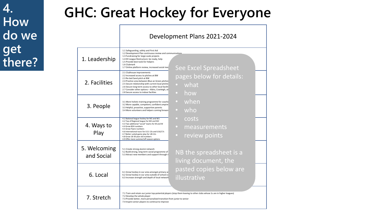# **GHC: Great Hockey for Everyone**

Development Plans 2021-2024

| 1. Leadership              | 1.1 Safeguarding, safety and First Aid<br>1.2 Development Plan continuous review and communications<br>1.3 Fundraising for large-scale projects<br>1.4 EH League Restructure: be ready, help<br>1.5 Provide best tools for helpers<br>1.6 Clubmark<br>1.7 Online platform review, increased social med                                                               | See Excel Spreadsheet                                                                                                   |
|----------------------------|----------------------------------------------------------------------------------------------------------------------------------------------------------------------------------------------------------------------------------------------------------------------------------------------------------------------------------------------------------------------|-------------------------------------------------------------------------------------------------------------------------|
| 2. Facilities              | 2.1 Clubhouse improvements<br>2.2 Increased access to pitches at BW<br>2.3 Re-laid Sand pitch at BW<br>2.4 Practice area between Blue an Green pitches<br>2.5 Secure relationship with current local pitches<br>2.6 Secure long-term access to other local faciliti<br>2.7 Consider other options - Aldro, Cranleigh, ot<br>2.8 Secure access to indoor facilties    | pages below for details:<br>• what<br>how<br>$\bullet$                                                                  |
| 3. People                  | 3.1 More holistic training programme for coache<br>3.2 More capable, competent, confident umpire<br>3.3 Helpful, proactive, supportive parents<br>3.4 More volunteers and helpers coming forward                                                                                                                                                                     | when<br>$\bullet$<br>who<br>$\bullet$                                                                                   |
| 4. Ways to<br>Play         | 4.1 National league hockey for M1 and W1<br>4.2 Top of Regional league for M2 and W2<br>4.3 Two additional "social" teams for M and W<br>4.4 Grow B2H numbers<br>4.5 Grow Flyerz numbers<br>4.6 International tours for U11-13s and U16/17s<br>4.7 Better suited game play for U8-12s<br>4.8 Grow 18-30 year old numbers<br>4.9 Offer more summer/off-season options | costs<br>measurements<br>$\bullet$<br>review points<br>$\bullet$                                                        |
| 5. Welcoming<br>and Social | 5.1 Create strong alumni network<br>5.2 Build strong, long term social programme of<br>5.3 Attract new members and support through n                                                                                                                                                                                                                                 | NB the spreadsheet is a<br>living document, the                                                                         |
| 6. Local                   | 6.1 Grow hockey in our area amongst primary ar<br>6.2 Grow hockey in our area outside of school cc<br>6.3 Increase strength and depth of local network                                                                                                                                                                                                               | pasted copies below are<br>illustrative                                                                                 |
| 7. Stretch                 | 7.2 Develop the whole player<br>7.3 Provide better, more personalised transition from junior to senior<br>7.4 Inspire senior players to continue to improve                                                                                                                                                                                                          | 7.1 Train and retain our junior top-potential players (stop them leaving to other clubs whose 1s are in higher leagues) |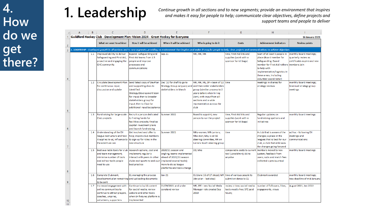# **1. Leadership 4.**

*Continue growth in all sections and to new segments; provide an environment that inspires and makes it easy for people to help; communicate clear objectives, define projects and support teams and people to deliver*

|                        | А | R   |                                                                                                                                   | D                                                                                                                                                                                                                  |                                                                                                                                                                                                            |                                                                                                                                                                                      | G                                                                          | н                                                                                                                                                                                                                                |                                                                               |
|------------------------|---|-----|-----------------------------------------------------------------------------------------------------------------------------------|--------------------------------------------------------------------------------------------------------------------------------------------------------------------------------------------------------------------|------------------------------------------------------------------------------------------------------------------------------------------------------------------------------------------------------------|--------------------------------------------------------------------------------------------------------------------------------------------------------------------------------------|----------------------------------------------------------------------------|----------------------------------------------------------------------------------------------------------------------------------------------------------------------------------------------------------------------------------|-------------------------------------------------------------------------------|
|                        |   |     | Guildford Hockey Club - Development Plan: Vision 2024 - Great Hockey for Everyone                                                 |                                                                                                                                                                                                                    |                                                                                                                                                                                                            |                                                                                                                                                                                      |                                                                            |                                                                                                                                                                                                                                  | <b>16 January 2021</b>                                                        |
| $\overline{c}$         |   |     | What we want to achieve                                                                                                           | How it will be achieved                                                                                                                                                                                            | When it will be achieved                                                                                                                                                                                   | Who is going to do it                                                                                                                                                                | Costs                                                                      | <b>Achievement indicators</b>                                                                                                                                                                                                    | <b>Review points</b>                                                          |
| $\overline{3}$         |   |     |                                                                                                                                   |                                                                                                                                                                                                                    | 1. LEADERSHIP - Continued growth in all sections and to new segments; providing an environment that inspires and makes it easy for people to help; clear projects and communications to achieve objectives |                                                                                                                                                                                      |                                                                            |                                                                                                                                                                                                                                  |                                                                               |
| 4                      |   | 1.1 | Improved ability to deliver<br>Safeguarding and First Aid;<br>proactive and engaging the<br><b>GHC</b> community                  | Expand Safeguarding and<br>First Aid teams from 1.5<br>people and improve<br>processes and<br>communications                                                                                                       | $Sep-21$                                                                                                                                                                                                   | MR, MK, MK                                                                                                                                                                           | time; First Aid kits and<br>supplies (work with a<br>sponsor for kit bags) | team of at least 5 people in<br>place (Board member for<br>Safeguarding, Board<br>member for First Aid +others   members join<br>to help with<br>implementation/logistics in<br>these areas, including<br>volunteer coordinator) | monthly board meetings;<br>quarterly review as<br>certificates expire and new |
| 5                      |   | 1.2 | Circulate Development Plan<br>for continuous input,<br>discussion and uptake                                                      | Send latest copy of DevPlan<br>and supporting docs to<br>identified<br>Strategy/Development team<br>for input; then to broader<br>stakeholders group for<br>input; then to Club for<br>additional input/acceptance | Dec '20 for draft to go to<br>Strategy Group Janyuary and and then wider stakeholders<br>stakeholders in March                                                                                             | MR, MK, ML, DF + team of 12 time<br>group (similar process to 2<br>years before when hiring<br>DoH); with input from all<br>sections and a wide<br>representation across the<br>club |                                                                            | meetings in diaries for<br>strategy reviews                                                                                                                                                                                      | monthly board meetings;<br>biannual strategy group<br>meetings                |
| 6                      |   | 1.3 | Fundraising for large-scale<br>Club projects                                                                                      | Recruit a person dedicated<br>to finding funds for<br>facilities projects; finalise<br>capital investment plans<br>and launch fundraising                                                                          | Summer 2022                                                                                                                                                                                                | Board to appoint; new<br>person to run the project                                                                                                                                   | time; First Aid kits and<br>supplies (work with a<br>sponsor for kit bags) | Regular updates on<br>fundraising opetions and<br>initiatives                                                                                                                                                                    | monthly board meetings                                                        |
| 7                      |   | 1.4 | Understanding of the EH<br>league restructure and how<br>it applies to us; influence to<br>the extent we can                      | Get involved and offer to<br>help; inspire club members<br>to sign up for roles in the<br>new structure                                                                                                            | Summer 2021                                                                                                                                                                                                | MKy-women; MR-juniors;<br>Mke-men; Mky is on SE<br>steering committee, MR on<br>Juniors South steering group                                                                         | time                                                                       | A club that is aware of the<br>changes; a place in the<br>leagues that is best for our<br>club; a club that embraces<br>the changes going forward                                                                                | ad hoc - following EH<br>meetings and<br>communications                       |
| 8                      |   |     | 1.5 Best available tools for club<br>and team management;<br>minimise number of tools<br>and ad hoc tools people<br>need to use   | research options, cost and<br>implement; regularly<br>interact with peers in other<br>clubs and sports to seek out<br>best practice                                                                                | 2020/21 season and<br>ongling; teamo implemented<br>ahead of 2020/21 season<br>(replaced several tools);<br>more to do as league<br>platforms and tools change                                             | DD, Mke                                                                                                                                                                              | comparable costs to current<br>tool (LoveAdmin); DD to<br>anyalse          | members moved to new<br>system; feedback from<br>users; subs and match fees<br>collected v previous tool                                                                                                                         | monthly board meetings                                                        |
| 9                      |   |     | 1.6 Complete Clubmark;<br>development plan remaining and uploading documents<br>to be sent                                        | GL managing the process                                                                                                                                                                                            | $Jan-21$                                                                                                                                                                                                   | GL (done 16 of 17 steps); MR<br>(dev plan - last step)                                                                                                                               | time of various people to<br>submit evidence to GL                         | Clubmark awarded                                                                                                                                                                                                                 | monthly board meetings;<br>new deadline of mid January                        |
| 10 <sub>1</sub><br>a a |   | 1.7 | Increased engagement with<br>online communities to<br>continue to attract players,<br>coaches, umpires,<br>volunteers, supporters | Continue to build content<br>for social media; review<br>website and other tools<br>when EH fixtures platform is<br>implemented                                                                                    | 01/09/2021 and under<br>constand review                                                                                                                                                                    | MR, SFE - new Social Meda<br>Manager role created Sep<br>2019                                                                                                                        | review = time; social media<br>tools mostly free; SFE paid<br>hours;       | number of followers, likes,<br>engagements, views                                                                                                                                                                                | August 2021, Jan 2022                                                         |

 $|11|$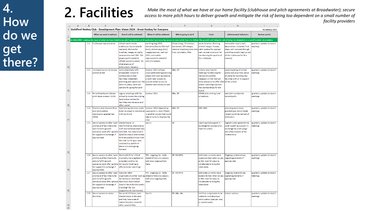**2.** Facility (clubhouse and pitch agreements at Broadwater); secure<br>access to more pitch hours to deliver growth and mitigate the risk of being too dependent on a small number of *facility providers*

|                | A | B   | c                                                                                                                                                                    | D                                                                                                                                                                                                                                                                      |                                                                                                                                                                         | F                                                                                                               | G                                                                                                                                                                                                                     | н                                                                                                                                                             |                                        |
|----------------|---|-----|----------------------------------------------------------------------------------------------------------------------------------------------------------------------|------------------------------------------------------------------------------------------------------------------------------------------------------------------------------------------------------------------------------------------------------------------------|-------------------------------------------------------------------------------------------------------------------------------------------------------------------------|-----------------------------------------------------------------------------------------------------------------|-----------------------------------------------------------------------------------------------------------------------------------------------------------------------------------------------------------------------|---------------------------------------------------------------------------------------------------------------------------------------------------------------|----------------------------------------|
|                |   |     |                                                                                                                                                                      | 1 Guildford Hockey Club - Development Plan: Vision 2024 - Great Hockey for Everyone                                                                                                                                                                                    |                                                                                                                                                                         |                                                                                                                 |                                                                                                                                                                                                                       |                                                                                                                                                               | <b>16 January 2021</b>                 |
| $\overline{2}$ |   |     | What we want to achieve                                                                                                                                              | How it will be achieved                                                                                                                                                                                                                                                | When it will be achieved                                                                                                                                                | Who is going to do it                                                                                           | <b>Costs</b>                                                                                                                                                                                                          | <b>Achievement indicators</b>                                                                                                                                 | <b>Review points</b>                   |
|                |   |     |                                                                                                                                                                      | 13 2. FACILITIES - making the most of what we have (clubhouse, pitch agreements at Broadwater) and securing access to more pitch hours to deliver the growth and mitigate risk of being too depedent on a small number of prov                                         |                                                                                                                                                                         |                                                                                                                 |                                                                                                                                                                                                                       |                                                                                                                                                               |                                        |
| 14             |   | 2.1 | Clubhouse improvements                                                                                                                                               | refresh paint inside<br>clubhouse; fascia boards<br>replaced; shelves for<br>trophies; images on walls;<br>sponsorship wall (NB - 50+<br>people participated in<br>refresh project summer '20<br>diverse group of<br>enthusiastic helpers)                             | painting Aug 2020;<br>balconies/fascia (Oct half<br>term); shelves Aug 2020);<br>images/sponsor wall Jan<br>2021; noticeable<br>improvements ahead of<br>2021/22 season | JR (painting), TH (shelves,<br>balconies); MR (images,<br>national trophies); also help<br>from volunteers, MKe | paint, brushes, shelving,<br>printed images, frames,<br>cable system for sponsor<br>wall; annual provision for<br>maintaining the quality of<br>the clubhouse                                                         | noticeable repairs and<br>decorations installed; first<br>steps well received (though<br>covid has mostly kept us out<br>of the clubhouse for this<br>season) | quarterly updates to board<br>meetings |
| 15             |   | 2.2 | Increased access to hockey<br>pitches at BW                                                                                                                          | work extensively with<br><b>Broadwater School to</b><br>collaborate on their<br>facilities investment<br>planning and spend over the<br>next 3-5 years; work out<br>options for going forward                                                                          | Summer 2021 to have<br>concluded meeting/planning<br>phase with looking towards<br>a multi-year project to<br>provide better access to<br>football and hockey on site   | MKe, DF                                                                                                         | initally only time for<br>meetings; fundraising for<br>new build could be<br>necessary in the medium<br>term; resources to offer after of the school<br>school coaching club and<br>free memberships for BW<br>pupils | understanding of school<br>plans and priorities; basis<br>of plans for building new<br>facitlies with or in support                                           | quarterly updates to board<br>meetings |
| 16             |   | 2.3 | Re-laid Sand pitch (Water<br>pitch done summer 2019)                                                                                                                 | regular meetings with the<br>school to review the sinking<br>fund and priorities for<br>facilities maintenance and<br>other spend                                                                                                                                      | Summer 2021                                                                                                                                                             | Mke, DF                                                                                                         | £350K (site sinking fund<br>allocation)                                                                                                                                                                               | new pitch surface for<br>second pitch                                                                                                                         | quarterly updates to board<br>meetings |
| 17             |   | 2.4 | Practice area between Blue<br>and Sand pitches<br>(permission granted Sep<br>2020)                                                                                   | fundraising (but also needs<br>to be reviewed in connection upon point 2.2 and if there<br>with point 2.2)                                                                                                                                                             | Summer 2022 (depending<br>is another project that could<br>take priority to improve the<br>site)                                                                        | MKe, DF                                                                                                         | £80-100K                                                                                                                                                                                                              | planning permission<br>granted (sep 2021); funds<br>raised would be next set of<br>indicators                                                                 | quarterly updates to board<br>meetings |
|                |   | 2.5 | Secure access to other local<br>pitches and facilities to be<br>able to fulfill growth<br>scenarios (and offer options<br>for support in exchange if<br>appropriate) | Charterhouse: re-<br>new/formalise relationship<br>with Charterhouse (new DoS,<br>new DoH, new head of girls<br>sport) to ensure best access<br>to three pitches 5 mins from<br>the club; build upon past<br>relationship and think<br>about win-wins going<br>forward | $Sen-21$                                                                                                                                                                | DF                                                                                                              | coaching and support in<br>exchange for sponsorship<br>from the school                                                                                                                                                | Signed 3 year agreement to<br>cover coaching support in<br>exchange for pitch usage<br>and other aspects of the<br>relationship                               | quarterly updates to board<br>meetings |
| 18<br>19       |   | 2.6 | Secure access to other local<br>pitches and facilities to be<br>able to fulfill growth<br>scenarios (and offer options<br>for support in exchange if<br>appropriate) | Work with Prior's Field<br>(currently training there on<br>a Sunday) and Surrey<br>University (looking to<br>offer/provide coaching)                                                                                                                                   | PFS - ongoing; SU - talks<br>ahead of 2021/22 season;<br>both also ongoing from<br>there                                                                                | DF, RM (PFS)                                                                                                    | both sites currently more<br>expensive than what we pay<br>at BW; look for ways to<br>collaborate to bring the<br>rates down                                                                                          | Ongoing relationships;<br>signed agreements if<br>appropriate                                                                                                 | quarterly updates to board<br>meetings |
| 20             |   | 2.7 | Secure access to other local<br>pitches and facilities to be<br>able to fulfill growth<br>scenarios (and offer options<br>for support in exchange if<br>appropriate) | Consider other<br>organisations either looking ahead of 2021/22 season;<br>for hockey or who have<br>factilities: Aldro School<br>(would like to build a pitch);<br>Cranleigh (far but<br>supportive of club hockey)                                                   | PFS - ongoing; SU - talks<br>both also ongoing from<br>there                                                                                                            | DF, RM (PFS)                                                                                                    | both sites currently more<br>expensive than what we pay<br>at BW; look for ways to<br>collaborate to bring the<br>rates down                                                                                          | Ongoing relationships;<br>signed agreements if<br>appropriate                                                                                                 | quarterly updates to board<br>meetings |
|                |   | 2.8 | Secure access to indoor<br>facilities                                                                                                                                | See point 2.5 (have used<br>Charterhouse in the past<br>and they have a set of<br>indoor boards); research                                                                                                                                                             | $Sep-21$                                                                                                                                                                | DF, Mke, ML                                                                                                     | hall hire; programme to be<br>costed to include player<br>participation (pay per play<br>or season pass)                                                                                                              | indoor options                                                                                                                                                | quarterly updates to board<br>meetings |
| 21             |   |     |                                                                                                                                                                      | other possibilities                                                                                                                                                                                                                                                    |                                                                                                                                                                         |                                                                                                                 |                                                                                                                                                                                                                       |                                                                                                                                                               |                                        |

 $\frac{1}{22}$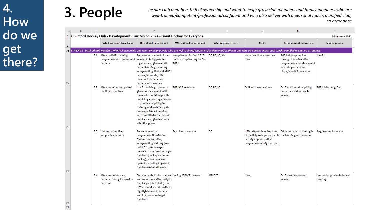**3. People** *Inspire club members to feel ownership and want to help; grow club members and family members who are well-trained/competent/professional/confident and who also deliver with a personal touch; a unified club; well-trained/competent/professional/confident and who also deliver with a personal touch; a unified club; no arrogance*

|   | $\mathsf{A}$ | B   | $\mathsf{C}$                                                                              | D                                                                                                                                                                                                                                                                                       | E.                                                               | F.                    | G                                                                                                                                              | H                                                                                                                                                                                                        |                                        |
|---|--------------|-----|-------------------------------------------------------------------------------------------|-----------------------------------------------------------------------------------------------------------------------------------------------------------------------------------------------------------------------------------------------------------------------------------------|------------------------------------------------------------------|-----------------------|------------------------------------------------------------------------------------------------------------------------------------------------|----------------------------------------------------------------------------------------------------------------------------------------------------------------------------------------------------------|----------------------------------------|
|   |              |     |                                                                                           | Guildford Hockey Club - Development Plan: Vision 2024 - Great Hockey for Everyone                                                                                                                                                                                                       |                                                                  |                       |                                                                                                                                                |                                                                                                                                                                                                          | <b>16 January 2021</b>                 |
|   |              |     | What we want to achieve                                                                   | How it will be achieved                                                                                                                                                                                                                                                                 | When it will be achieved                                         | Who is going to do it | Costs                                                                                                                                          | <b>Achievement indicators</b>                                                                                                                                                                            | <b>Review points</b>                   |
|   |              |     |                                                                                           |                                                                                                                                                                                                                                                                                         |                                                                  |                       |                                                                                                                                                | 3. PEOPLE - inspired club members who feel ownership and want to help; people who are well-trained/competent/professional/confident and who also deliver a personal touch; a unified group; no arrogance |                                        |
| 5 |              |     | 3.1 More holistic training<br>programme for coaches and season to bring people<br>helpers | Run sessions ahead of the<br>together and give overall<br>helper training including<br>safeguarding, first aid, GHC<br>culture/ethos etc; offer<br>courses to other club<br>helpers and coaches                                                                                         | was planned for Sep 2020<br>but covid - planning for Sep<br>2021 | DF, RC, JB, SW        | volunteer time + coaches<br>time                                                                                                               | 100 helpers/coaches<br>through the orientation<br>programme; attendance and<br>workshops for other<br>clubs/sports in our area                                                                           | Jun-21                                 |
| 6 |              | 3.2 | More capable, competent,<br>confident umpires                                             | run 3 umpiring courses to<br>give confidence and skill to<br>those who could help with<br>umpiring; encourage people<br>to practice umpiring in<br>training and matches; pair<br>less experienced umpires<br>with qualified/experienced<br>umpires and give feedback<br>after the games | 2021/22 season +                                                 | DF, RC, JB            | DoH and coaches time                                                                                                                           | 5-10 additional umpiring<br>resources trained each<br>season                                                                                                                                             | 2021: May, Aug, Dec                    |
|   |              | 3.3 | Helpful, proactive,<br>supportive parents                                                 | Parent education<br>programme: Non-Perfect<br>Dad as one supplier,<br>safeguarding training (see<br>point 3.1); encourage<br>parents to ask questions, get<br>involved (hockey and non-<br>hockey), promote a very<br>open door policy to parent<br>involvement at all levels           | Sep of each season                                               | DF                    | NPD talk/webinar fee; time<br>of participants; participants the training each season<br>can sign up for further<br>programme (at big discount) | 60 parents participating in                                                                                                                                                                              | Aug, Nov each season                   |
|   |              | 3.4 | More volunteers and<br>helpers coming forward to<br>help out                              | Communicate Club structure during 2020/21 season<br>and roles more effectively to<br>inspire people to help; Use<br>InTouch and social media to<br>highlight current helpers<br>and inspire more to get<br>involved                                                                     |                                                                  | MR, SFE               | time;                                                                                                                                          | 5-10 new people each<br>season                                                                                                                                                                           | quarterly updates to board<br>meetings |

 $29$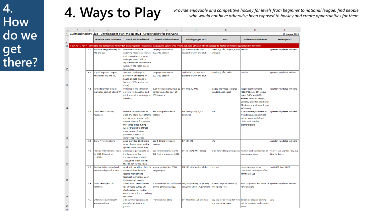**4. Ways to Play** *Provide enjoyable and competitive hockey for levels from beginner to national league; find people who would not have otherwise been exposed to hockey and create opportunities for them*

|                | B.<br>A | $\mathsf{C}$                                                                      | D.                                                                                                                                                                                                                                                   | E                                                                                        | F                                                | G.                                                                                                                                                                                           | н                                                                                                                                                                            |                                                |
|----------------|---------|-----------------------------------------------------------------------------------|------------------------------------------------------------------------------------------------------------------------------------------------------------------------------------------------------------------------------------------------------|------------------------------------------------------------------------------------------|--------------------------------------------------|----------------------------------------------------------------------------------------------------------------------------------------------------------------------------------------------|------------------------------------------------------------------------------------------------------------------------------------------------------------------------------|------------------------------------------------|
| $\mathbf{1}$   |         | Guildford Hockey Club - Development Plan: Vision 2024 - Great Hockey for Everyone |                                                                                                                                                                                                                                                      |                                                                                          |                                                  |                                                                                                                                                                                              |                                                                                                                                                                              | <b>16 January 2021</b>                         |
| $\overline{2}$ |         | What we want to achieve                                                           | How it will be achieved                                                                                                                                                                                                                              | When it will be achieved                                                                 | Who is going to do it                            | <b>Costs</b>                                                                                                                                                                                 | <b>Achievement indicators</b>                                                                                                                                                | <b>Review points</b>                           |
| 31             |         |                                                                                   |                                                                                                                                                                                                                                                      |                                                                                          |                                                  | 4. WAYS TO PLAY - enjoyable and competitive hockey for levels beginner to National league; find people who would not have otherwise been exposed to hockey and create opportunities for them |                                                                                                                                                                              |                                                |
| 32             |         | 4.1 National League hockey for<br>M1 and W1                                       | continue to improve<br>coaching resources, recruit<br>and retain players; train<br>twice per week; build on<br>input from and relationship<br>with new M1 coach Beckie<br>Middleton                                                                  | <b>Target promotion for</b><br>2021/22 season                                            | 1st team coaches with<br>support of DoH and club | coaching, s&c, physio, video results<br>analysis                                                                                                                                             |                                                                                                                                                                              | quarterly updates to board                     |
| 33             | 4.2     | Top of Regional League<br>hockey for M2 and W2                                    | Support coaching and<br>players in 2nd teams to<br>South leagues (M2s are<br>Surrey 1, W2s are Surrey<br>Prem)                                                                                                                                       | <b>Target promotion for</b><br>2021/22 season                                            | 2nd team coaches with<br>support of DoH and club | coaching, s&c, video,                                                                                                                                                                        | results                                                                                                                                                                      | quarterly updates to board                     |
| 34             | 4.3     | Two additional "social"<br>teams for each of M and W                              | continue to welcome new<br>players; find coaches and<br>pitch space for training and<br>matches                                                                                                                                                      | over three seasons; have 19 DF, Mke, JC, Mky<br>senior teams for start of<br>2023 season |                                                  | league entry fees (covered<br>by additional subs)                                                                                                                                            | league team numbers<br>(2020/21: new 6th league<br>team, O40s and O50s<br>entered into EH Champs;<br>2021/22 plan for additional<br>M's team and at least 1 new<br>W's team) | quarterly updates to board                     |
| 35             | 4.4     | Grow Back 2 Hockey<br>numbers                                                     | support MF initiatives on<br>dads and lads; more efforts<br>and focus on mums; build<br>on B2H session for parents<br>that takes place during<br>junior training to attract<br>more parents (new or<br>previous players - no<br>experience required) | add 5-10 players each<br>season                                                          | MF (men); Mky/JC/CS<br>(women)                   | n/a                                                                                                                                                                                          | B2H numbers; numners of<br>friendly games organised<br>intra-club or with local<br>clubs with similar<br>teams/players                                                       | quarterly updates to board                     |
| 36             | 4.5     | Grow Flyerz numbers                                                               | good start Sep 2020; more<br>word of mouth and media<br>spread in the community                                                                                                                                                                      | add 5-10 players each<br>season                                                          | DF, ND, MB                                       | n/a                                                                                                                                                                                          |                                                                                                                                                                              | quarterly updates to board                     |
|                | 4.6     | Provide International Tours<br>for U11-13s and for<br>U16/17s                     | continue to participate in<br>the Barcelona Dec<br>tournament (cancelled<br>2020); add international                                                                                                                                                 | Dec for Barcelona; tour to<br>RSA first one summer 2022                                  | DF, RC (RSA), MR (Barce)                         | to be funded by participants number and satisfaction of                                                                                                                                      | overseason tours                                                                                                                                                             | yearly: Jan-Mar for RSA, Aug-<br>Nov for Barce |
| 37             |         |                                                                                   | tour to RSA for Year 12s                                                                                                                                                                                                                             |                                                                                          |                                                  |                                                                                                                                                                                              |                                                                                                                                                                              |                                                |
| 38             | 4.7     | Provide better suited and<br>more match play for U8-12s                           | work with local big clubs to<br>define and implement<br>league; monitor and<br>feedback to improve upon<br>its inaugural season                                                                                                                      | league to start Sep 2020:<br>MegaLeague                                                  | MR, DF with 5 other clubs                        | no cost                                                                                                                                                                                      | more games at more<br>consistent quality on offer<br>for the U8-12s                                                                                                          | Jan 2021, Mar 2021                             |
| 39             | 4.8     | Grow 18-30 year old<br>numbers                                                    | advertise to 18-30 market;<br>reach out to Surrey Uni<br>students (social media,<br>events, invitations, coaching<br>sessions)                                                                                                                       | From summer 2021 (if covid SFE, MR (media); DF (Surrey<br>allows otherwise 2022)         | uni); Mke (men), JC (women)                      | advertising can be mostly<br>online and free                                                                                                                                                 | add 2-3 players each season quarterly updates to board<br>for 3 seasons                                                                                                      |                                                |
| 40<br>41       | 4.9     | Offer more summer/off-<br>season options                                          | add summer options and<br>dates for seniors and<br>juniors                                                                                                                                                                                           | From summer 2021                                                                         | DF, Mke (Men), JC (women)                        | pay to play covers pitch hire 50 senior players coming<br>and coaching costs                                                                                                                 | out for summer hockey every<br>week;                                                                                                                                         | July                                           |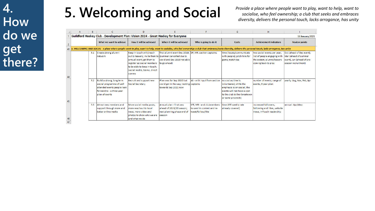# **5. Welcoming and Social** *Provide a place where people want to play, want to help, want to*

*socialise, who feel ownership; a club that seeks and embraces diversity, delivers the personal touch, lacks arrogance, has unity*

|                 | А | B   |                                                                                                                                     | D                                                                                                                                                                                                                      |                                                                                                      |                                                                              | G                                                                                                                                                                                                                  | н                                                                                                                |                                                                                                        |
|-----------------|---|-----|-------------------------------------------------------------------------------------------------------------------------------------|------------------------------------------------------------------------------------------------------------------------------------------------------------------------------------------------------------------------|------------------------------------------------------------------------------------------------------|------------------------------------------------------------------------------|--------------------------------------------------------------------------------------------------------------------------------------------------------------------------------------------------------------------|------------------------------------------------------------------------------------------------------------------|--------------------------------------------------------------------------------------------------------|
|                 |   |     |                                                                                                                                     | Guildford Hockey Club - Development Plan: Vision 2024 - Great Hockey for Everyone                                                                                                                                      |                                                                                                      |                                                                              |                                                                                                                                                                                                                    |                                                                                                                  | <b>16 January 2021</b>                                                                                 |
| $\overline{2}$  |   |     | What we want to achieve                                                                                                             | How it will be achieved                                                                                                                                                                                                | When it will be achieved                                                                             | Who is going to do it                                                        | <b>Costs</b>                                                                                                                                                                                                       | <b>Achievement indicators</b>                                                                                    | <b>Review points</b>                                                                                   |
|                 |   |     |                                                                                                                                     |                                                                                                                                                                                                                        |                                                                                                      |                                                                              | 43 5. WELCOMING AND SOCIAL - a place where people want to play, want to help, want to socialise, who feel ownership; a club that embraces/seeks diversity, delivers the personal touch, lacks arrogance, has unity |                                                                                                                  |                                                                                                        |
|                 |   | 5.1 | Create strong alumni<br>network                                                                                                     | Keep in touch with/reach<br>out to leavers; invite them to (summer cancelled due to<br>annual event; get them to<br>register as social members<br>to be able to keep in touch;<br>social media, teamo, direct<br>comms | first alumni event Dec 2019: DF, MR, section captains<br>covid and Dec 2020 not able<br>to go ahead) |                                                                              | time (locate/communicate<br>with people); pitch hire for<br>game; match tea                                                                                                                                        | two social events per year:<br>list of people engaging with<br>the system; alumni/leavers<br>coming back to play | Oct (ahead of Dec event).<br>Mar (ahead of summer<br>event), Jun (ahead of pre-<br>season recruitment) |
| 45              |   | 5.2 | Build a strong, long term<br>social programme of well<br>attended events people look<br>forward to - a three year<br>plan of events | Recruit and support new<br>Social Secretary                                                                                                                                                                            | Plan was for Sep 2020 but<br>covid got in the way; looking captains<br>towards Sep 2021 now          | AS - with input from section                                                 | no cost as time is<br>volunteered; while the<br>emphasis is on social, the<br>events will not have a cost<br>to the club (either breakeven<br>or some proceeds)                                                    | number of events; range of<br>events; 3 year plan                                                                | yearly: Aug, Nov, Feb, Apr                                                                             |
| $\frac{46}{47}$ |   | 5.3 | Attract new members and<br>support through more and<br>better online media                                                          | More social media posts.<br>more reachout to local<br>news, more video and<br>photos to show who we are<br>and what we do                                                                                              | Annual plan - first was<br>ahead of 2019/20 season;<br>next planning phase end of<br>season          | SFE, MR - and clubmembers<br>to send in content and re-<br>tweet/follow/like | time (SFE weekly rate)<br>already covered)                                                                                                                                                                         | increased followers.<br>following and likes, website<br>views, InTouch readership                                | annual: Apr/May                                                                                        |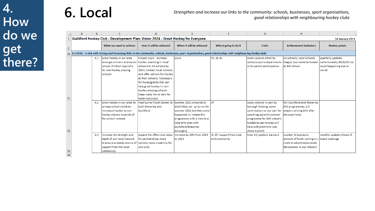|                | A | B   |                                                                                   | D.                                                 |                                                                                                                                                                     |                           | G                            | н                                                     |                          |
|----------------|---|-----|-----------------------------------------------------------------------------------|----------------------------------------------------|---------------------------------------------------------------------------------------------------------------------------------------------------------------------|---------------------------|------------------------------|-------------------------------------------------------|--------------------------|
|                |   |     | Guildford Hockey Club - Development Plan: Vision 2024 - Great Hockey for Everyone |                                                    |                                                                                                                                                                     |                           |                              |                                                       | <b>16 January 2021</b>   |
| $\overline{2}$ |   |     | What we want to achieve                                                           | How it will be achieved                            | When it will be achieved                                                                                                                                            | Who is going to do it     | Costs                        | <b>Achievement indicators</b>                         | <b>Review points</b>     |
|                |   |     |                                                                                   |                                                    | 50 6. LOCAL - a club with strong and increasing links to the community: schools, businesses, sport organisations, good relationships with neighbouring hockey clubs |                           |                              |                                                       |                          |
|                |   | 6.1 | Grow hockey in our area                                                           | Project 2024 - increase                            | 2024                                                                                                                                                                | DF, JB, RC                | costs covered either by      | 24 schools; local schools                             | quarterly updates        |
|                |   |     | amongst primary and senior hockey coaching in local                               |                                                    |                                                                                                                                                                     |                           | schools sports departments   | league; tournaments hosted (unfortunately 2019/20 not |                          |
|                |   |     | school children espcially                                                         | schools to 24 schools by                           |                                                                                                                                                                     |                           | or by parent participation   | at BW School                                          | much happening due to    |
|                |   |     | for non-hockey playing                                                            | 2024; Contact local schools                        |                                                                                                                                                                     |                           |                              |                                                       | covid)                   |
|                |   |     | schools                                                                           | and offer options for hockey                       |                                                                                                                                                                     |                           |                              |                                                       |                          |
|                |   |     |                                                                                   | at their schools; find/apply                       |                                                                                                                                                                     |                           |                              |                                                       |                          |
|                |   |     |                                                                                   | for funds/grants that can                          |                                                                                                                                                                     |                           |                              |                                                       |                          |
|                |   |     |                                                                                   | help grow hockey in non-                           |                                                                                                                                                                     |                           |                              |                                                       |                          |
|                |   |     |                                                                                   | hockey playing schools                             |                                                                                                                                                                     |                           |                              |                                                       |                          |
|                |   |     |                                                                                   | (keep costs low or zero for                        |                                                                                                                                                                     |                           |                              |                                                       |                          |
| 51             |   |     |                                                                                   | taster sessions)                                   |                                                                                                                                                                     |                           |                              |                                                       |                          |
|                |   | 6.2 | Grow hockey in our area for                                                       | Host Surrey Youth Games for Summer 2021 onwards to |                                                                                                                                                                     | DF                        | costs covered in part by     | full Guildford and Waverley                           |                          |
|                |   |     | primay school children;                                                           | both Waverley and                                  | 2024 (Was set up to run for                                                                                                                                         |                           | borough funding; some        | SYG programmes; 2-3                                   |                          |
|                |   |     | introduce hockey to non-                                                          | Guildford                                          | summer 2021 but then covid                                                                                                                                          |                           | contribution on our part for | players joining GHC after                             |                          |
|                |   |     | hockey players (outside of                                                        |                                                    | happened; re-instate this                                                                                                                                           |                           | coaching; parallel summer    | the experience                                        |                          |
|                |   |     | the school context)                                                               |                                                    | programme with a view to a                                                                                                                                          |                           | programme for GHC players    |                                                       |                          |
|                |   |     |                                                                                   |                                                    | long term plan with                                                                                                                                                 |                           | funded by pay to play will   |                                                       |                          |
|                |   |     |                                                                                   |                                                    | Guildford/Waverley                                                                                                                                                  |                           | help with pitch hire (can    |                                                       |                          |
| 52             |   |     |                                                                                   |                                                    | boroughs)                                                                                                                                                           |                           | share a pitch)               |                                                       |                          |
|                |   | 6.3 | Increase the strength and                                                         | expand the offers and ideas                        | increase by 50% from 2019                                                                                                                                           | JR, DF, support from club | time; kit, posters, banners  | number of sponsors,                                   | monthly updates ahead of |
|                |   |     | depth of our local network                                                        | for partnerships; more                             | to 2022                                                                                                                                                             | and community             |                              | amount of funds coming in y board meetings            |                          |
|                |   |     | to ensure a steady source of                                                      | options, more creativity for                       |                                                                                                                                                                     |                           |                              | costs to advertise/promote                            |                          |
|                |   |     | support from the local                                                            | win-wins                                           |                                                                                                                                                                     |                           |                              | the sponsor in our network                            |                          |
| 53.            |   |     | community                                                                         |                                                    |                                                                                                                                                                     |                           |                              |                                                       |                          |

 $54$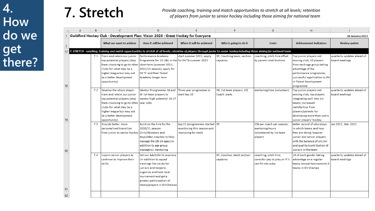**7. Stretch** *Provide coaching, training and match opportunities to stretch at all levels; retention of players from junior to senior hockey including those aiming for national team*

|    | А | В   | Ċ                                                     | D                                                                                 |                                                                                                                                                                                 | F                          | G                             | н                             |                            |
|----|---|-----|-------------------------------------------------------|-----------------------------------------------------------------------------------|---------------------------------------------------------------------------------------------------------------------------------------------------------------------------------|----------------------------|-------------------------------|-------------------------------|----------------------------|
|    |   |     |                                                       | Guildford Hockey Club - Development Plan: Vision 2024 - Great Hockey for Everyone |                                                                                                                                                                                 |                            |                               |                               | <b>16 January 2021</b>     |
| -2 |   |     | What we want to achieve                               | How it will be achieved                                                           | When it will be achieved                                                                                                                                                        | Who is going to do it      | <b>Costs</b>                  | <b>Achievement indicators</b> | <b>Review points</b>       |
| 57 |   |     |                                                       |                                                                                   | 7. STRETCH - coaching, training and match opportunities to stretch at all levels; retention of players through junior to senior hockey including those aiming for national team |                            |                               |                               |                            |
|    |   | 7.1 | Train and retain our junior                           | Performance Academy                                                               | start summer 2021, apply                                                                                                                                                        | DF, Coaching team, section | coaching, pitch hire offset   | Top junior players not        | quarterly updates ahead of |
|    |   |     | top-potential players (stop                           | Programme for 12-18s in the for EH TA summer 2022                                 |                                                                                                                                                                                 | captains                   | by parent contributions       | moving club; 10 players       | board meetings             |
|    |   |     | them choosing to go to other short term (summer 2021; |                                                                                   |                                                                                                                                                                                 |                            |                               | from each age group taking    |                            |
|    |   |     | clubs for what may be a                               | 2021/22 season); apply for                                                        |                                                                                                                                                                                 |                            |                               | advantage of the              |                            |
|    |   |     | higher league but may not                             | <b>EH TC and then Talent</b>                                                      |                                                                                                                                                                                 |                            |                               | performance programme;        |                            |
|    |   |     | be a better development                               | Academy longer term                                                               |                                                                                                                                                                                 |                            |                               | successful application to EH  |                            |
|    |   |     | opportunity)                                          |                                                                                   |                                                                                                                                                                                 |                            |                               | in Talent Development         |                            |
| 58 |   |     |                                                       |                                                                                   |                                                                                                                                                                                 |                            |                               | programme                     |                            |
|    |   |     | 7.2 Develop the whole player:                         | Mentor Prorgramme: M and Three year programme to                                  |                                                                                                                                                                                 | DR, 1st team players, J2S  | mentoring time (volunteer)    | Top junior players not        | quarterly updates ahead of |
|    |   |     | train and retain our junior                           | W 1st team players to                                                             | start Sep 20                                                                                                                                                                    | Coach Leads                |                               | moving club; top players      | board meetings             |
|    |   |     | top-potential players (stop                           | mentor high potential 14-17                                                       |                                                                                                                                                                                 |                            |                               | integrating well into 1st     |                            |
|    |   |     | them choosing to go to other year olds                |                                                                                   |                                                                                                                                                                                 |                            |                               | teams; increased              |                            |
|    |   |     | clubs for what may be a                               |                                                                                   |                                                                                                                                                                                 |                            |                               | satisfaction from             |                            |
|    |   |     | higher league but may not                             |                                                                                   |                                                                                                                                                                                 |                            |                               | players/parents for           |                            |
|    |   |     | be a better development                               |                                                                                   |                                                                                                                                                                                 |                            |                               | developing more than just a   |                            |
| 59 |   |     | opportunity)                                          |                                                                                   |                                                                                                                                                                                 |                            |                               | junior players' hockey        |                            |
|    |   |     | 7.3 Provide better, more                              | Build on the hire for the                                                         | Sep 21 (programmes started DF                                                                                                                                                   |                            | £3k per coach per season;     | better record of who plays    | Jan 2021, Mar 2021         |
|    |   |     | personalised transition                               | 2020/21 season                                                                    | monitoring this season and                                                                                                                                                      |                            | mentoring hours               | in which teams and how        |                            |
|    |   |     | from junior to senior hockey Girls2Womens and         |                                                                                   | improving for next)                                                                                                                                                             |                            | volunteered by 1st team       | they are doing; happier       |                            |
|    |   |     |                                                       | Boys2Men coaches to help                                                          |                                                                                                                                                                                 |                            | players                       | junior and senior players     |                            |
|    |   |     |                                                       | manage the U9-14 ages (in                                                         |                                                                                                                                                                                 |                            |                               | with the balance of snr/jnr   |                            |
|    |   |     |                                                       | addition to age group                                                             |                                                                                                                                                                                 |                            |                               | and quality/contribution of   |                            |
| 60 |   |     |                                                       | managers); mentoring                                                              |                                                                                                                                                                                 |                            |                               | juniors in the team           |                            |
|    |   | 7.4 | Inspire senior players to                             | Deliver Adult Skills sessions                                                     |                                                                                                                                                                                 | DF, Coaches, Adult section | coaching, pitch hire;         | 10 of each gender taking      | quarterly updates ahead of |
|    |   |     | continue to improve their                             | (in addition to squad                                                             |                                                                                                                                                                                 | captains                   | consider pay to play or if it | advantage on a regular        | board meetings             |
|    |   |     | skills                                                | training) like we do for                                                          |                                                                                                                                                                                 |                            | can fit into subs             | basis; annual tournament; 5   |                            |
|    |   |     |                                                       | juniors and keepers;                                                              |                                                                                                                                                                                 |                            |                               | teams in EH Champs            |                            |
|    |   |     |                                                       | organise and host local                                                           |                                                                                                                                                                                 |                            |                               |                               |                            |
|    |   |     |                                                       | tournament and get a                                                              |                                                                                                                                                                                 |                            |                               |                               |                            |
|    |   |     |                                                       | greater participation of                                                          |                                                                                                                                                                                 |                            |                               |                               |                            |
|    |   |     |                                                       | teams/players in EH Champs                                                        |                                                                                                                                                                                 |                            |                               |                               |                            |
| 61 |   |     |                                                       |                                                                                   |                                                                                                                                                                                 |                            |                               |                               |                            |
| 62 |   |     |                                                       |                                                                                   |                                                                                                                                                                                 |                            |                               |                               |                            |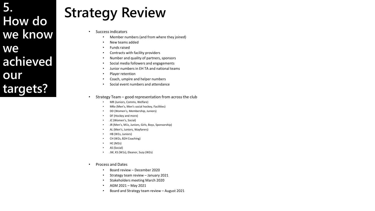**5. How do we know we achieved our targets?**

# **Strategy Review**

- Success indicators
	- Member numbers (and from where they joined)
	- New teams added
	- Funds raised
	- Contracts with facility providers
	- Number and quality of partners, sponsors
	- Social media followers and engagements
	- Junior numbers in EH TA and national teams
	- Player retention
	- Coach, umpire and helper numbers
	- Social event numbers and attendance
- Strategy Team good representation from across the club
	- MR (Juniors, Comms, Welfare)
	- MKe (Men's, Men's social hockey, Facilities)
	- DD (Women's, Membership, Juniors)
	- DF (Hockey and more)
	- JC (Women's, Social)
	- JR (Men's, M1s, Juniors, Girls, Boys, Sponsorship)
	- AL (Men's, Juniors, Wayfarers)
	- HB (W1s, Juniors)
	- CH (W2s, B2H Coaching)
	- HC (M2s)
	- AS (Social)
	- JW, KS (W1s), Eleanor, Suzy (W2s)
- Process and Dates
	- Board review December 2020
	- Strategy team review January 2021
	- Stakeholders meeting March 2020
	- AGM 2021 May 2021
	- Board and Strategy team review August 2021